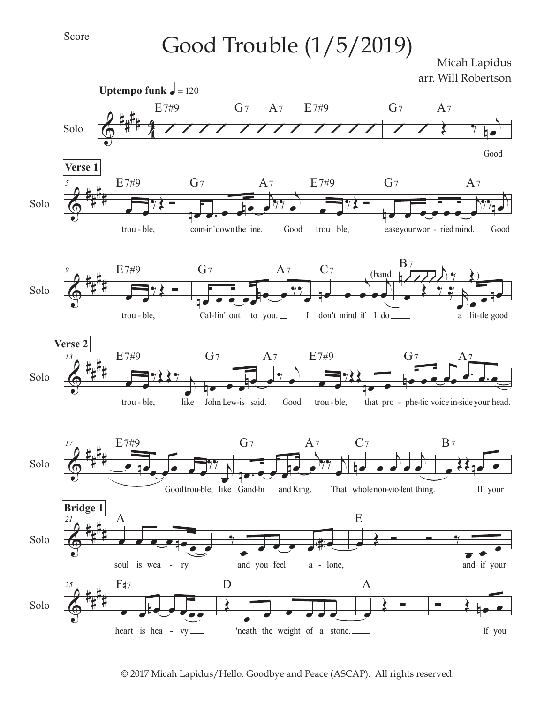## Score

 $Good\; trouble\; (1/5/2019)$  Micah Lapidus

arr. Will Robertson



© 2017 Micah Lapidus/Hello. Goodbye and Peace (ASCAP). All rights reserved.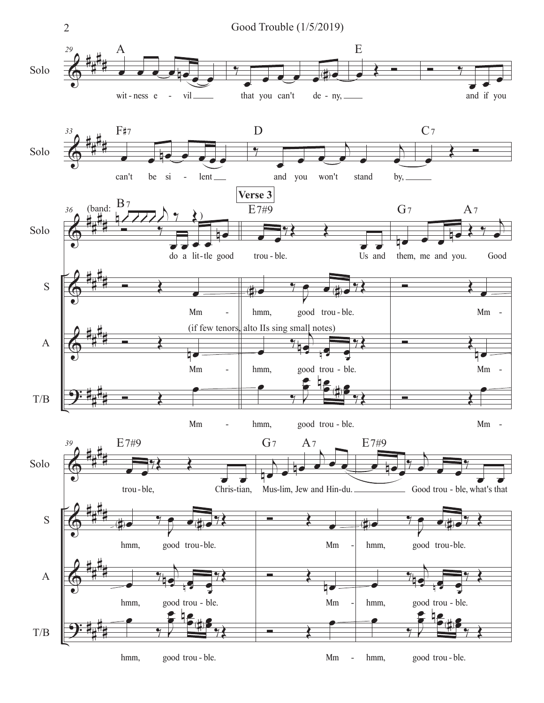

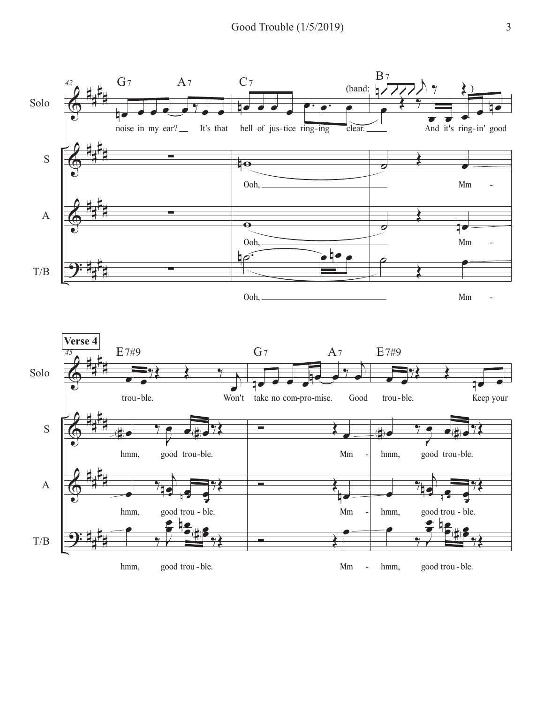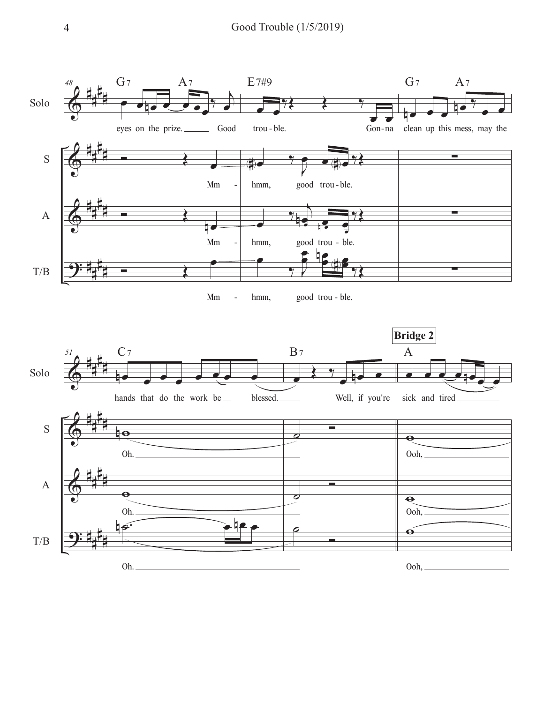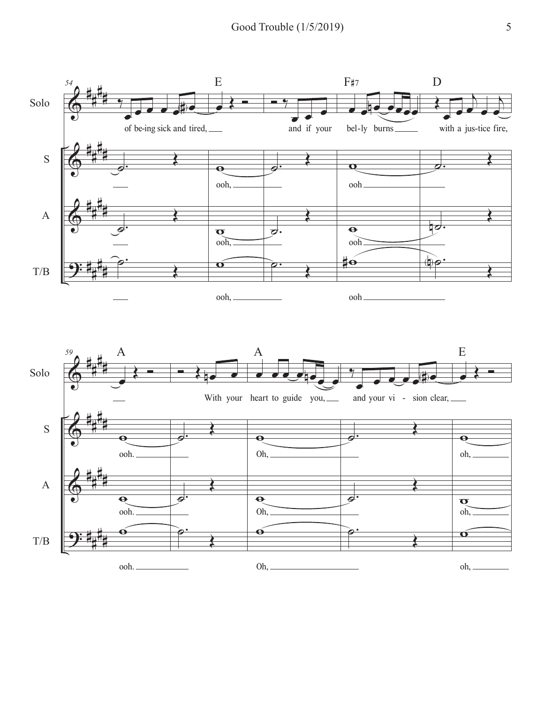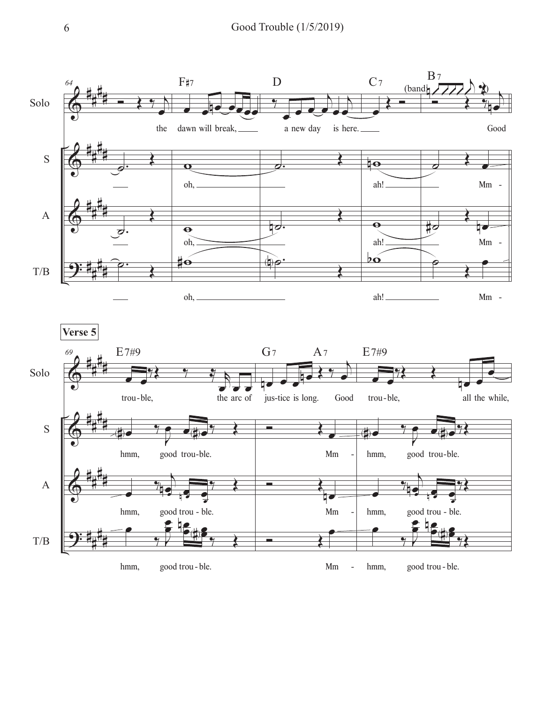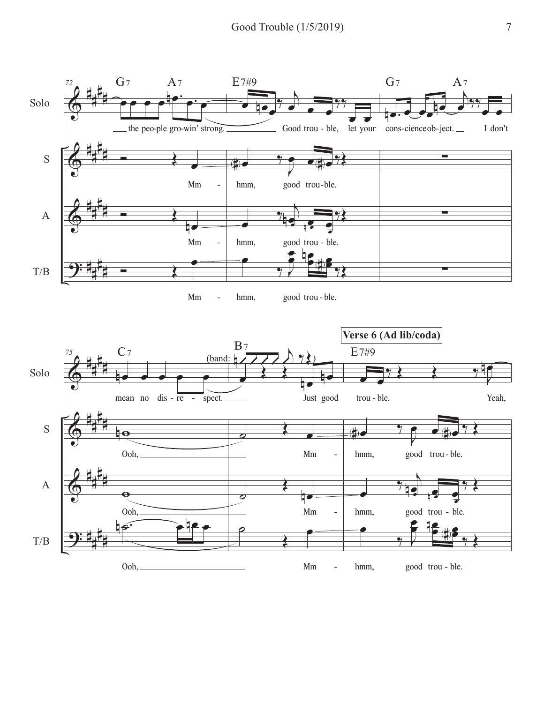